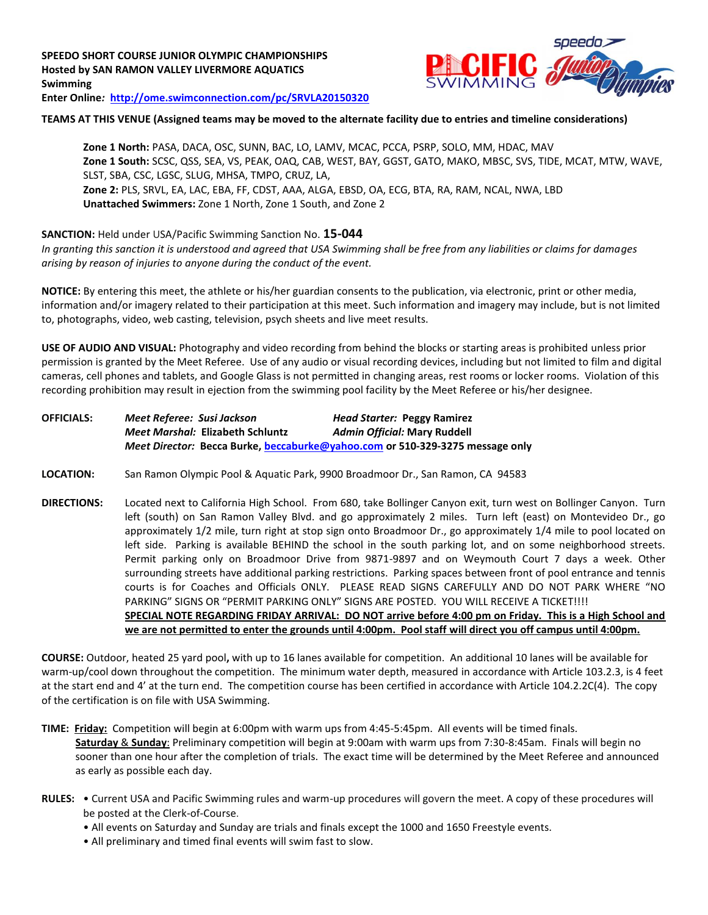

# **TEAMS AT THIS VENUE (Assigned teams may be moved to the alternate facility due to entries and timeline considerations)**

**Zone 1 North:** PASA, DACA, OSC, SUNN, BAC, LO, LAMV, MCAC, PCCA, PSRP, SOLO, MM, HDAC, MAV **Zone 1 South:** SCSC, QSS, SEA, VS, PEAK, OAQ, CAB, WEST, BAY, GGST, GATO, MAKO, MBSC, SVS, TIDE, MCAT, MTW, WAVE, SLST, SBA, CSC, LGSC, SLUG, MHSA, TMPO, CRUZ, LA, **Zone 2:** PLS, SRVL, EA, LAC, EBA, FF, CDST, AAA, ALGA, EBSD, OA, ECG, BTA, RA, RAM, NCAL, NWA, LBD **Unattached Swimmers:** Zone 1 North, Zone 1 South, and Zone 2

# **SANCTION:** Held under USA/Pacific Swimming Sanction No. **15-044**

*In granting this sanction it is understood and agreed that USA Swimming shall be free from any liabilities or claims for damages arising by reason of injuries to anyone during the conduct of the event.*

**NOTICE:** By entering this meet, the athlete or his/her guardian consents to the publication, via electronic, print or other media, information and/or imagery related to their participation at this meet. Such information and imagery may include, but is not limited to, photographs, video, web casting, television, psych sheets and live meet results.

**USE OF AUDIO AND VISUAL:** Photography and video recording from behind the blocks or starting areas is prohibited unless prior permission is granted by the Meet Referee. Use of any audio or visual recording devices, including but not limited to film and digital cameras, cell phones and tablets, and Google Glass is not permitted in changing areas, rest rooms or locker rooms. Violation of this recording prohibition may result in ejection from the swimming pool facility by the Meet Referee or his/her designee.

| <b>OFFICIALS:</b> | Meet Referee:  Susi Jackson                                                   | <b>Head Starter: Peggy Ramirez</b> |  |  |
|-------------------|-------------------------------------------------------------------------------|------------------------------------|--|--|
|                   | Meet Marshal: Elizabeth Schluntz                                              | Admin Official: Mary Ruddell       |  |  |
|                   | Meet Director: Becca Burke, beccaburke@yahoo.com or 510-329-3275 message only |                                    |  |  |

- **LOCATION:** San Ramon Olympic Pool & Aquatic Park, 9900 Broadmoor Dr., San Ramon, CA 94583
- **DIRECTIONS:** Located next to California High School. From 680, take Bollinger Canyon exit, turn west on Bollinger Canyon. Turn left (south) on San Ramon Valley Blvd. and go approximately 2 miles. Turn left (east) on Montevideo Dr., go approximately 1/2 mile, turn right at stop sign onto Broadmoor Dr., go approximately 1/4 mile to pool located on left side. Parking is available BEHIND the school in the south parking lot, and on some neighborhood streets. Permit parking only on Broadmoor Drive from 9871-9897 and on Weymouth Court 7 days a week. Other surrounding streets have additional parking restrictions. Parking spaces between front of pool entrance and tennis courts is for Coaches and Officials ONLY. PLEASE READ SIGNS CAREFULLY AND DO NOT PARK WHERE "NO PARKING" SIGNS OR "PERMIT PARKING ONLY" SIGNS ARE POSTED. YOU WILL RECEIVE A TICKET!!!! **SPECIAL NOTE REGARDING FRIDAY ARRIVAL: DO NOT arrive before 4:00 pm on Friday. This is a High School and we are not permitted to enter the grounds until 4:00pm. Pool staff will direct you off campus until 4:00pm.**

**COURSE:** Outdoor, heated 25 yard pool**,** with up to 16 lanes available for competition.An additional 10 lanes will be available for warm-up/cool down throughout the competition. The minimum water depth, measured in accordance with Article 103.2.3, is 4 feet at the start end and 4' at the turn end. The competition course has been certified in accordance with Article 104.2.2C(4). The copy of the certification is on file with USA Swimming.

**TIME: Friday:** Competition will begin at 6:00pm with warm ups from 4:45-5:45pm. All events will be timed finals. **Saturday** & **Sunday**: Preliminary competition will begin at 9:00am with warm ups from 7:30-8:45am. Finals will begin no sooner than one hour after the completion of trials. The exact time will be determined by the Meet Referee and announced as early as possible each day.

- **RULES:** Current USA and Pacific Swimming rules and warm-up procedures will govern the meet. A copy of these procedures will be posted at the Clerk-of-Course.
	- All events on Saturday and Sunday are trials and finals except the 1000 and 1650 Freestyle events.
	- All preliminary and timed final events will swim fast to slow.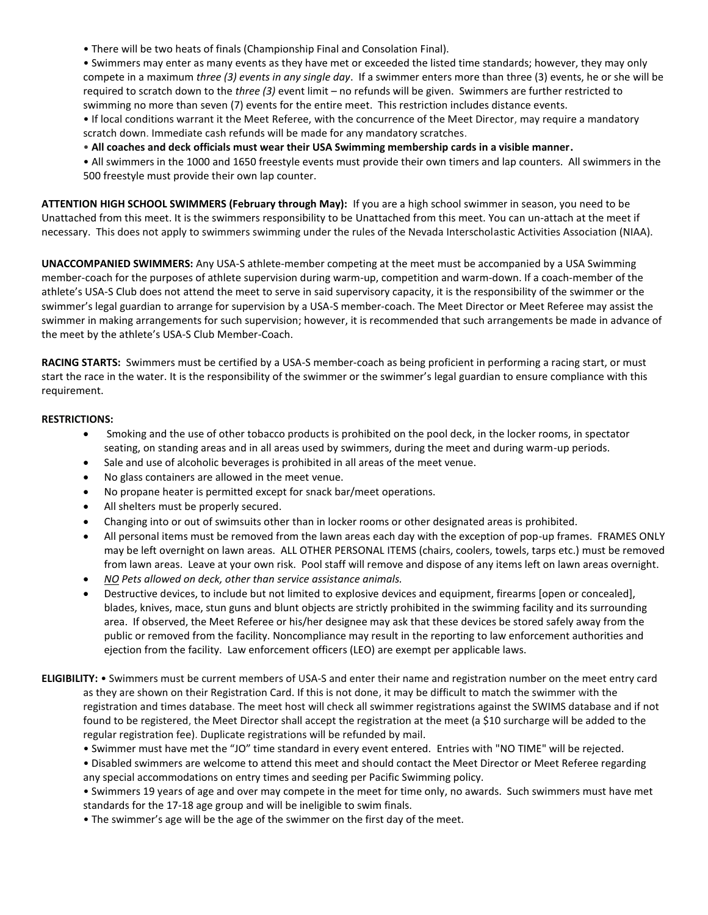• There will be two heats of finals (Championship Final and Consolation Final).

• Swimmers may enter as many events as they have met or exceeded the listed time standards; however, they may only compete in a maximum *three (3) events in any single day*. If a swimmer enters more than three (3) events, he or she will be required to scratch down to the *three (3)* event limit – no refunds will be given. Swimmers are further restricted to swimming no more than seven (7) events for the entire meet. This restriction includes distance events.

• If local conditions warrant it the Meet Referee, with the concurrence of the Meet Director, may require a mandatory scratch down. Immediate cash refunds will be made for any mandatory scratches.

• **All coaches and deck officials must wear their USA Swimming membership cards in a visible manner.**

• All swimmers in the 1000 and 1650 freestyle events must provide their own timers and lap counters. All swimmers in the 500 freestyle must provide their own lap counter.

**ATTENTION HIGH SCHOOL SWIMMERS (February through May):** If you are a high school swimmer in season, you need to be Unattached from this meet. It is the swimmers responsibility to be Unattached from this meet. You can un-attach at the meet if necessary. This does not apply to swimmers swimming under the rules of the Nevada Interscholastic Activities Association (NIAA).

**UNACCOMPANIED SWIMMERS:** Any USA-S athlete-member competing at the meet must be accompanied by a USA Swimming member-coach for the purposes of athlete supervision during warm-up, competition and warm-down. If a coach-member of the athlete's USA-S Club does not attend the meet to serve in said supervisory capacity, it is the responsibility of the swimmer or the swimmer's legal guardian to arrange for supervision by a USA-S member-coach. The Meet Director or Meet Referee may assist the swimmer in making arrangements for such supervision; however, it is recommended that such arrangements be made in advance of the meet by the athlete's USA-S Club Member-Coach.

**RACING STARTS:** Swimmers must be certified by a USA-S member-coach as being proficient in performing a racing start, or must start the race in the water. It is the responsibility of the swimmer or the swimmer's legal guardian to ensure compliance with this requirement.

# **RESTRICTIONS:**

- Smoking and the use of other tobacco products is prohibited on the pool deck, in the locker rooms, in spectator seating, on standing areas and in all areas used by swimmers, during the meet and during warm-up periods.
- Sale and use of alcoholic beverages is prohibited in all areas of the meet venue.
- No glass containers are allowed in the meet venue.
- No propane heater is permitted except for snack bar/meet operations.
- All shelters must be properly secured.
- Changing into or out of swimsuits other than in locker rooms or other designated areas is prohibited.
- All personal items must be removed from the lawn areas each day with the exception of pop-up frames. FRAMES ONLY may be left overnight on lawn areas. ALL OTHER PERSONAL ITEMS (chairs, coolers, towels, tarps etc.) must be removed from lawn areas. Leave at your own risk. Pool staff will remove and dispose of any items left on lawn areas overnight.
- *NO Pets allowed on deck, other than service assistance animals.*
- Destructive devices, to include but not limited to explosive devices and equipment, firearms [open or concealed], blades, knives, mace, stun guns and blunt objects are strictly prohibited in the swimming facility and its surrounding area. If observed, the Meet Referee or his/her designee may ask that these devices be stored safely away from the public or removed from the facility. Noncompliance may result in the reporting to law enforcement authorities and ejection from the facility. Law enforcement officers (LEO) are exempt per applicable laws.
- **ELIGIBILITY:** Swimmers must be current members of USA-S and enter their name and registration number on the meet entry card as they are shown on their Registration Card. If this is not done, it may be difficult to match the swimmer with the registration and times database. The meet host will check all swimmer registrations against the SWIMS database and if not found to be registered, the Meet Director shall accept the registration at the meet (a \$10 surcharge will be added to the regular registration fee). Duplicate registrations will be refunded by mail.
	- Swimmer must have met the "JO" time standard in every event entered. Entries with "NO TIME" will be rejected.

• Disabled swimmers are welcome to attend this meet and should contact the Meet Director or Meet Referee regarding any special accommodations on entry times and seeding per Pacific Swimming policy.

• Swimmers 19 years of age and over may compete in the meet for time only, no awards. Such swimmers must have met standards for the 17-18 age group and will be ineligible to swim finals.

• The swimmer's age will be the age of the swimmer on the first day of the meet.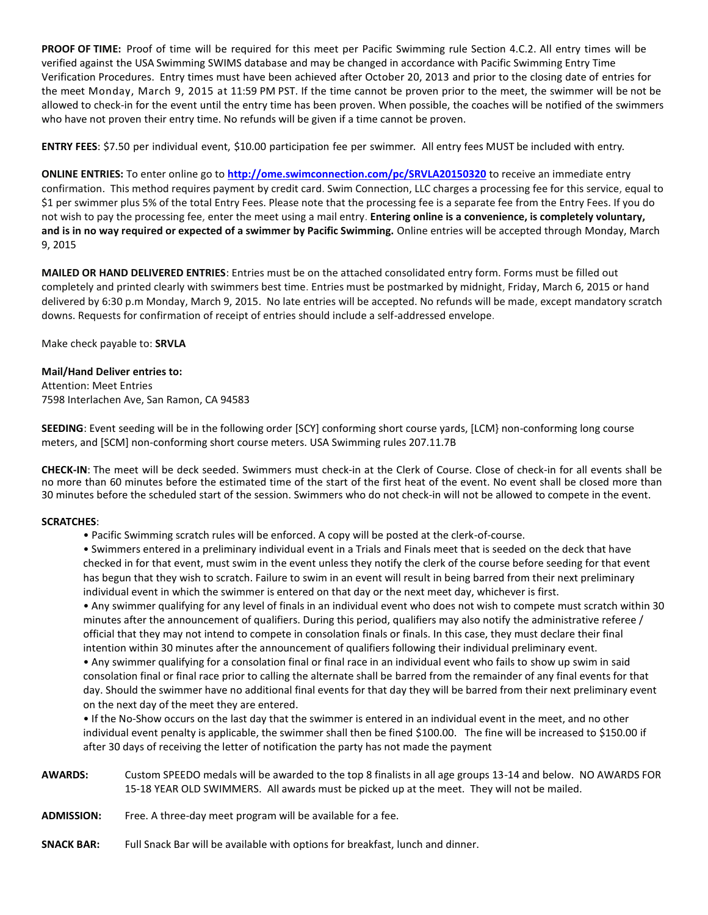**PROOF OF TIME:** Proof of time will be required for this meet per Pacific Swimming rule Section 4.C.2. All entry times will be verified against the USA Swimming SWIMS database and may be changed in accordance with Pacific Swimming Entry Time Verification Procedures. Entry times must have been achieved after October 20, 2013 and prior to the closing date of entries for the meet Monday, March 9, 2015 at 11:59 PM PST. If the time cannot be proven prior to the meet, the swimmer will be not be allowed to check-in for the event until the entry time has been proven. When possible, the coaches will be notified of the swimmers who have not proven their entry time. No refunds will be given if a time cannot be proven.

**ENTRY FEES**: \$7.50 per individual event, \$10.00 participation fee per swimmer. All entry fees MUST be included with entry.

**ONLINE ENTRIES:** To enter online go to **<http://ome.swimconnection.com/pc/SRVLA20150320>** to receive an immediate entry confirmation. This method requires payment by credit card. Swim Connection, LLC charges a processing fee for this service, equal to \$1 per swimmer plus 5% of the total Entry Fees. Please note that the processing fee is a separate fee from the Entry Fees. If you do not wish to pay the processing fee, enter the meet using a mail entry. **Entering online is a convenience, is completely voluntary, and is in no way required or expected of a swimmer by Pacific Swimming.** Online entries will be accepted through Monday, March 9, 2015

**MAILED OR HAND DELIVERED ENTRIES**: Entries must be on the attached consolidated entry form. Forms must be filled out completely and printed clearly with swimmers best time. Entries must be postmarked by midnight, Friday, March 6, 2015 or hand delivered by 6:30 p.m Monday, March 9, 2015. No late entries will be accepted. No refunds will be made, except mandatory scratch downs. Requests for confirmation of receipt of entries should include a self-addressed envelope.

Make check payable to: **SRVLA**

# **Mail/Hand Deliver entries to:**

Attention: Meet Entries 7598 Interlachen Ave, San Ramon, CA 94583

**SEEDING**: Event seeding will be in the following order [SCY] conforming short course yards, [LCM} non-conforming long course meters, and [SCM] non-conforming short course meters. USA Swimming rules 207.11.7B

**CHECK-IN**: The meet will be deck seeded. Swimmers must check-in at the Clerk of Course. Close of check-in for all events shall be no more than 60 minutes before the estimated time of the start of the first heat of the event. No event shall be closed more than 30 minutes before the scheduled start of the session. Swimmers who do not check-in will not be allowed to compete in the event.

#### **SCRATCHES**:

• Pacific Swimming scratch rules will be enforced. A copy will be posted at the clerk-of-course.

• Swimmers entered in a preliminary individual event in a Trials and Finals meet that is seeded on the deck that have checked in for that event, must swim in the event unless they notify the clerk of the course before seeding for that event has begun that they wish to scratch. Failure to swim in an event will result in being barred from their next preliminary individual event in which the swimmer is entered on that day or the next meet day, whichever is first.

• Any swimmer qualifying for any level of finals in an individual event who does not wish to compete must scratch within 30 minutes after the announcement of qualifiers. During this period, qualifiers may also notify the administrative referee / official that they may not intend to compete in consolation finals or finals. In this case, they must declare their final intention within 30 minutes after the announcement of qualifiers following their individual preliminary event.

• Any swimmer qualifying for a consolation final or final race in an individual event who fails to show up swim in said consolation final or final race prior to calling the alternate shall be barred from the remainder of any final events for that day. Should the swimmer have no additional final events for that day they will be barred from their next preliminary event on the next day of the meet they are entered.

• If the No-Show occurs on the last day that the swimmer is entered in an individual event in the meet, and no other individual event penalty is applicable, the swimmer shall then be fined \$100.00. The fine will be increased to \$150.00 if after 30 days of receiving the letter of notification the party has not made the payment

- **AWARDS:** Custom SPEEDO medals will be awarded to the top 8 finalists in all age groups 13-14 and below. NO AWARDS FOR 15-18 YEAR OLD SWIMMERS. All awards must be picked up at the meet. They will not be mailed.
- **ADMISSION:** Free. A three-day meet program will be available for a fee.
- **SNACK BAR:** Full Snack Bar will be available with options for breakfast, lunch and dinner.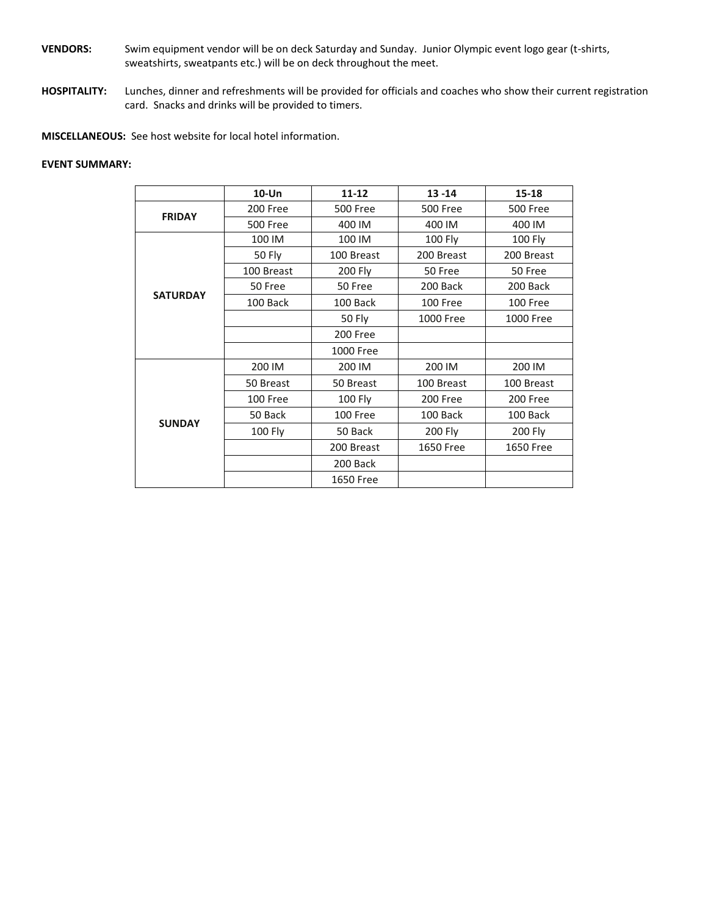- **VENDORS:** Swim equipment vendor will be on deck Saturday and Sunday. Junior Olympic event logo gear (t-shirts, sweatshirts, sweatpants etc.) will be on deck throughout the meet.
- **HOSPITALITY:** Lunches, dinner and refreshments will be provided for officials and coaches who show their current registration card. Snacks and drinks will be provided to timers.

**MISCELLANEOUS:** See host website for local hotel information.

### **EVENT SUMMARY:**

|                 | $10$ -Un        | 11-12            | $13 - 14$       | $15 - 18$       |  |
|-----------------|-----------------|------------------|-----------------|-----------------|--|
| <b>FRIDAY</b>   | 200 Free        | <b>500 Free</b>  | <b>500 Free</b> | <b>500 Free</b> |  |
|                 | <b>500 Free</b> | 400 IM           | 400 IM          | 400 IM          |  |
|                 | 100 IM          | 100 IM           | <b>100 Fly</b>  | <b>100 Fly</b>  |  |
|                 | 50 Fly          | 100 Breast       | 200 Breast      | 200 Breast      |  |
|                 | 100 Breast      | <b>200 Fly</b>   | 50 Free         | 50 Free         |  |
|                 | 50 Free         | 50 Free          | 200 Back        | 200 Back        |  |
| <b>SATURDAY</b> | 100 Back        | 100 Back         | 100 Free        | 100 Free        |  |
|                 |                 | 50 Fly           | 1000 Free       | 1000 Free       |  |
|                 |                 | 200 Free         |                 |                 |  |
|                 |                 | 1000 Free        |                 |                 |  |
|                 | 200 IM          | 200 IM           | 200 IM          | 200 IM          |  |
|                 | 50 Breast       | 50 Breast        | 100 Breast      | 100 Breast      |  |
|                 | 100 Free        | 100 Fly          | 200 Free        | 200 Free        |  |
|                 | 50 Back         | 100 Free         | 100 Back        | 100 Back        |  |
| <b>SUNDAY</b>   | <b>100 Fly</b>  | 50 Back          | 200 Fly         | 200 Fly         |  |
|                 |                 | 200 Breast       | 1650 Free       | 1650 Free       |  |
|                 |                 | 200 Back         |                 |                 |  |
|                 |                 | <b>1650 Free</b> |                 |                 |  |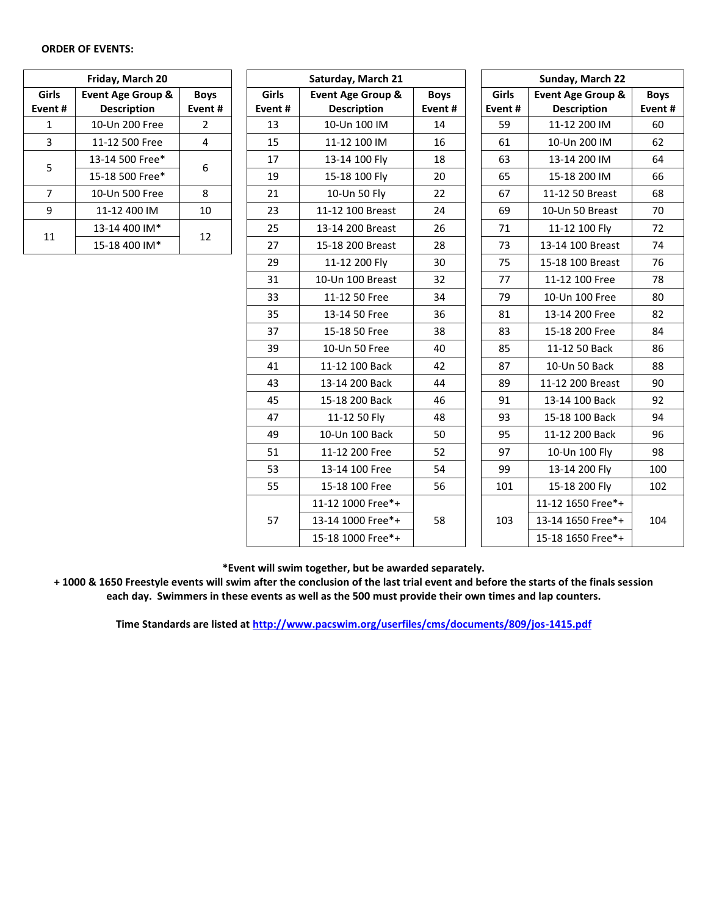#### **ORDER OF EVENTS:**

| Friday, March 20 |                                      |    |  |  |  |
|------------------|--------------------------------------|----|--|--|--|
| Girls<br>Event#  | <b>Boys</b><br>Event#                |    |  |  |  |
| 1                | <b>Description</b><br>10-Un 200 Free | 2  |  |  |  |
| 3                | 11-12 500 Free                       | 4  |  |  |  |
| 5                | 13-14 500 Free*                      | 6  |  |  |  |
|                  | 15-18 500 Free*                      |    |  |  |  |
| 7                | 10-Un 500 Free                       | 8  |  |  |  |
| ٩                | 11-12 400 IM                         | 10 |  |  |  |
| 11               | 13-14 400 IM*                        |    |  |  |  |
|                  | 15-18 400 IM*                        | 12 |  |  |  |

|                | Friday, March 20   |                |        | Saturday, March 21           |             | Sunday, March 22 |                                                                                                                                                                                                                                                                                                                                                                                   |             |
|----------------|--------------------|----------------|--------|------------------------------|-------------|------------------|-----------------------------------------------------------------------------------------------------------------------------------------------------------------------------------------------------------------------------------------------------------------------------------------------------------------------------------------------------------------------------------|-------------|
| irls           | Event Age Group &  | <b>Boys</b>    | Girls  | <b>Event Age Group &amp;</b> | <b>Boys</b> | Girls            | Event Age Group &                                                                                                                                                                                                                                                                                                                                                                 | <b>Boys</b> |
| nt#            | <b>Description</b> | Event#         | Event# | <b>Description</b>           | Event#      | Event#           |                                                                                                                                                                                                                                                                                                                                                                                   | Event       |
| $\mathbf{1}$   | 10-Un 200 Free     | $\overline{2}$ | 13     | 10-Un 100 IM                 | 14          | 59               | 11-12 200 IM                                                                                                                                                                                                                                                                                                                                                                      | 60          |
| 3              | 11-12 500 Free     | $\overline{4}$ | 15     | 11-12 100 IM                 | 16          | 61               | 10-Un 200 IM                                                                                                                                                                                                                                                                                                                                                                      | 62          |
| 5              | 13-14 500 Free*    |                | 17     | 13-14 100 Fly                | 18          | 63               | 13-14 200 IM                                                                                                                                                                                                                                                                                                                                                                      | 64          |
|                | 15-18 500 Free*    | 6              | 19     | 15-18 100 Fly                | 20          | 65               | 15-18 200 IM                                                                                                                                                                                                                                                                                                                                                                      | 66          |
| 7              | 10-Un 500 Free     | 8              | 21     | 10-Un 50 Fly                 | 22          | 67               | 11-12 50 Breast                                                                                                                                                                                                                                                                                                                                                                   | 68          |
| 9              | 11-12 400 IM       | 10             | 23     | 11-12 100 Breast             | 24          | 69               | 10-Un 50 Breast                                                                                                                                                                                                                                                                                                                                                                   | 70          |
| $\overline{1}$ | 13-14 400 IM*      |                | 25     | 13-14 200 Breast             | 26          | 71               | <b>Description</b><br>11-12 100 Fly<br>13-14 100 Breast<br>15-18 100 Breast<br>11-12 100 Free<br>10-Un 100 Free<br>13-14 200 Free<br>15-18 200 Free<br>11-12 50 Back<br>10-Un 50 Back<br>11-12 200 Breast<br>13-14 100 Back<br>15-18 100 Back<br>11-12 200 Back<br>10-Un 100 Fly<br>13-14 200 Fly<br>15-18 200 Fly<br>11-12 1650 Free*+<br>13-14 1650 Free*+<br>15-18 1650 Free*+ | 72          |
|                | 15-18 400 IM*      | 12             | 27     | 15-18 200 Breast             | 28          | 73               |                                                                                                                                                                                                                                                                                                                                                                                   | 74          |
|                |                    |                | 29     | 11-12 200 Fly                | 30          | 75               |                                                                                                                                                                                                                                                                                                                                                                                   | 76          |
|                |                    |                | 31     | 10-Un 100 Breast             | 32          | 77               |                                                                                                                                                                                                                                                                                                                                                                                   | 78          |
|                |                    |                | 33     | 11-12 50 Free                | 34          | 79               |                                                                                                                                                                                                                                                                                                                                                                                   | 80          |
|                |                    |                | 35     | 13-14 50 Free                | 36          | 81               |                                                                                                                                                                                                                                                                                                                                                                                   | 82          |
|                |                    |                | 37     | 15-18 50 Free                | 38          | 83               |                                                                                                                                                                                                                                                                                                                                                                                   | 84          |
|                |                    |                | 39     | 10-Un 50 Free                | 40          | 85               |                                                                                                                                                                                                                                                                                                                                                                                   | 86          |
|                |                    |                | 41     | 11-12 100 Back               | 42          | 87               |                                                                                                                                                                                                                                                                                                                                                                                   | 88          |
|                |                    |                | 43     | 13-14 200 Back               | 44          | 89               |                                                                                                                                                                                                                                                                                                                                                                                   | 90          |
|                |                    |                | 45     | 15-18 200 Back               | 46          | 91               |                                                                                                                                                                                                                                                                                                                                                                                   | 92          |
|                |                    |                | 47     | 11-12 50 Fly                 | 48          | 93               |                                                                                                                                                                                                                                                                                                                                                                                   | 94          |
|                |                    |                | 49     | 10-Un 100 Back               | 50          | 95               |                                                                                                                                                                                                                                                                                                                                                                                   | 96          |
|                |                    |                | 51     | 11-12 200 Free               | 52          | 97               |                                                                                                                                                                                                                                                                                                                                                                                   | 98          |
|                |                    |                | 53     | 13-14 100 Free               | 54          | 99               |                                                                                                                                                                                                                                                                                                                                                                                   | 100         |
|                |                    |                | 55     | 15-18 100 Free               | 56          | 101              |                                                                                                                                                                                                                                                                                                                                                                                   | 102         |
|                |                    |                |        | 11-12 1000 Free*+            |             |                  |                                                                                                                                                                                                                                                                                                                                                                                   |             |
|                |                    |                | 57     | 13-14 1000 Free*+            | 58          | 103              |                                                                                                                                                                                                                                                                                                                                                                                   | 104         |
|                |                    |                |        | 15-18 1000 Free*+            |             |                  |                                                                                                                                                                                                                                                                                                                                                                                   |             |

**Boys Event #**

**\*Event will swim together, but be awarded separately.**

**+ 1000 & 1650 Freestyle events will swim after the conclusion of the last trial event and before the starts of the finals session each day. Swimmers in these events as well as the 500 must provide their own times and lap counters.**

**Time Standards are listed a[t http://www.pacswim.org/userfiles/cms/documents/809/jos-1415.pdf](http://www.pacswim.org/userfiles/cms/documents/809/jos-1415.pdf)**